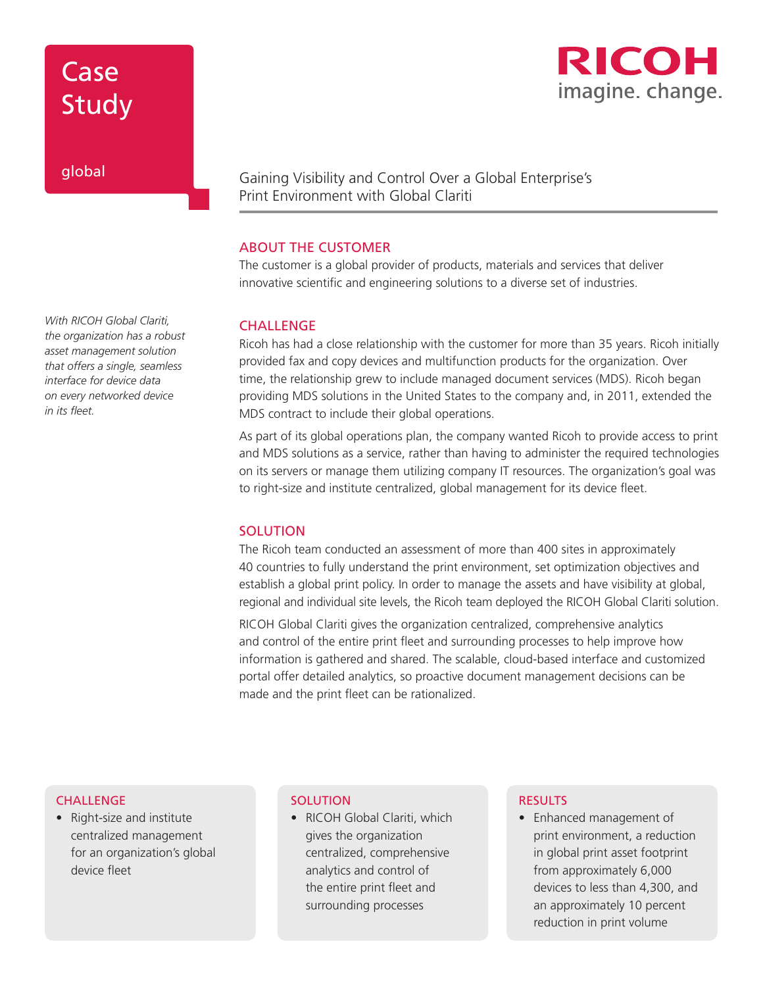## Case Study

## global

*With RICOH Global Clariti, the organization has a robust asset management solution that offers a single, seamless interface for device data on every networked device in its fleet.*

## Gaining Visibility and Control Over a Global Enterprise's Print Environment with Global Clariti

### ABOUT THE CUSTOMER

The customer is a global provider of products, materials and services that deliver innovative scientific and engineering solutions to a diverse set of industries.

#### **CHALLENGE**

Ricoh has had a close relationship with the customer for more than 35 years. Ricoh initially provided fax and copy devices and multifunction products for the organization. Over time, the relationship grew to include managed document services (MDS). Ricoh began providing MDS solutions in the United States to the company and, in 2011, extended the MDS contract to include their global operations.

As part of its global operations plan, the company wanted Ricoh to provide access to print and MDS solutions as a service, rather than having to administer the required technologies on its servers or manage them utilizing company IT resources. The organization's goal was to right-size and institute centralized, global management for its device fleet.

### **SOLUTION**

The Ricoh team conducted an assessment of more than 400 sites in approximately 40 countries to fully understand the print environment, set optimization objectives and establish a global print policy. In order to manage the assets and have visibility at global, regional and individual site levels, the Ricoh team deployed the RICOH Global Clariti solution.

RICOH Global Clariti gives the organization centralized, comprehensive analytics and control of the entire print fleet and surrounding processes to help improve how information is gathered and shared. The scalable, cloud-based interface and customized portal offer detailed analytics, so proactive document management decisions can be made and the print fleet can be rationalized.

#### **CHALLENGE**

• Right-size and institute centralized management for an organization's global device fleet

#### **SOLUTION**

• RICOH Global Clariti, which gives the organization centralized, comprehensive analytics and control of the entire print fleet and surrounding processes

#### **RESULTS**

• Enhanced management of print environment, a reduction in global print asset footprint from approximately 6,000 devices to less than 4,300, and an approximately 10 percent reduction in print volume